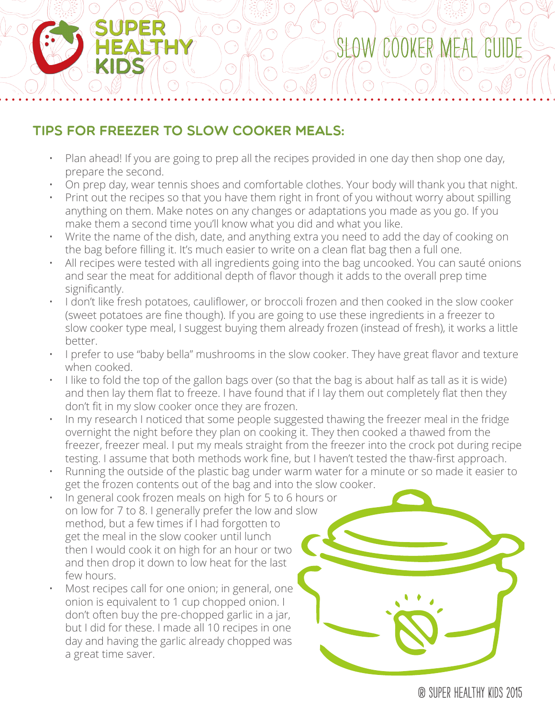## Tips for Freezer to Slow Cooker Meals:

- Plan ahead! If you are going to prep all the recipes provided in one day then shop one day, prepare the second.
- On prep day, wear tennis shoes and comfortable clothes. Your body will thank you that night.
- Print out the recipes so that you have them right in front of you without worry about spilling anything on them. Make notes on any changes or adaptations you made as you go. If you make them a second time you'll know what you did and what you like.
- Write the name of the dish, date, and anything extra you need to add the day of cooking on the bag before filling it. It's much easier to write on a clean flat bag then a full one.
- All recipes were tested with all ingredients going into the bag uncooked. You can sauté onions and sear the meat for additional depth of flavor though it adds to the overall prep time significantly.
- I don't like fresh potatoes, cauliflower, or broccoli frozen and then cooked in the slow cooker (sweet potatoes are fine though). If you are going to use these ingredients in a freezer to slow cooker type meal, I suggest buying them already frozen (instead of fresh), it works a little better.
- I prefer to use "baby bella" mushrooms in the slow cooker. They have great flavor and texture when cooked.
- I like to fold the top of the gallon bags over (so that the bag is about half as tall as it is wide) and then lay them flat to freeze. I have found that if I lay them out completely flat then they don't fit in my slow cooker once they are frozen.
- In my research I noticed that some people suggested thawing the freezer meal in the fridge overnight the night before they plan on cooking it. They then cooked a thawed from the freezer, freezer meal. I put my meals straight from the freezer into the crock pot during recipe testing. I assume that both methods work fine, but I haven't tested the thaw-first approach.
- Running the outside of the plastic bag under warm water for a minute or so made it easier to get the frozen contents out of the bag and into the slow cooker.
- In general cook frozen meals on high for 5 to 6 hours or on low for 7 to 8. I generally prefer the low and slow method, but a few times if I had forgotten to get the meal in the slow cooker until lunch then I would cook it on high for an hour or two and then drop it down to low heat for the last few hours.
- Most recipes call for one onion; in general, one onion is equivalent to 1 cup chopped onion. I don't often buy the pre-chopped garlic in a jar, but I did for these. I made all 10 recipes in one day and having the garlic already chopped was a great time saver.

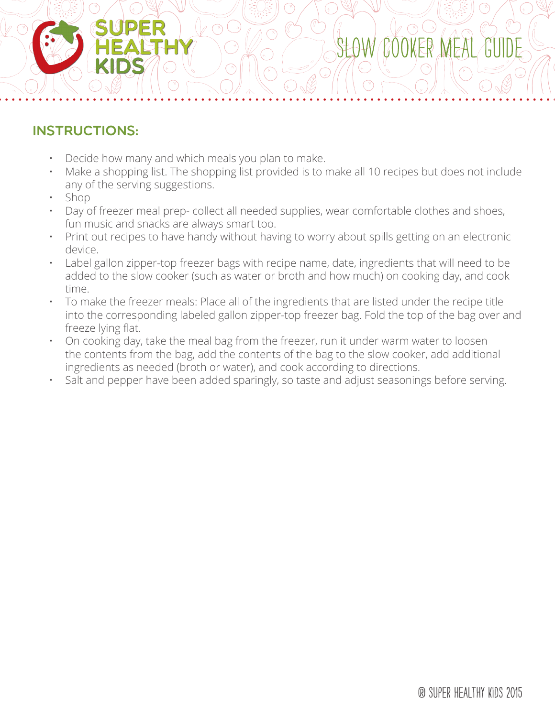## instructions:

- Decide how many and which meals you plan to make.
- Make a shopping list. The shopping list provided is to make all 10 recipes but does not include any of the serving suggestions.

Slow Cooker Meal Guide

- Shop
- Day of freezer meal prep- collect all needed supplies, wear comfortable clothes and shoes, fun music and snacks are always smart too.
- Print out recipes to have handy without having to worry about spills getting on an electronic device.
- Label gallon zipper-top freezer bags with recipe name, date, ingredients that will need to be added to the slow cooker (such as water or broth and how much) on cooking day, and cook time.
- To make the freezer meals: Place all of the ingredients that are listed under the recipe title into the corresponding labeled gallon zipper-top freezer bag. Fold the top of the bag over and freeze lying flat.
- On cooking day, take the meal bag from the freezer, run it under warm water to loosen the contents from the bag, add the contents of the bag to the slow cooker, add additional ingredients as needed (broth or water), and cook according to directions.
- Salt and pepper have been added sparingly, so taste and adjust seasonings before serving.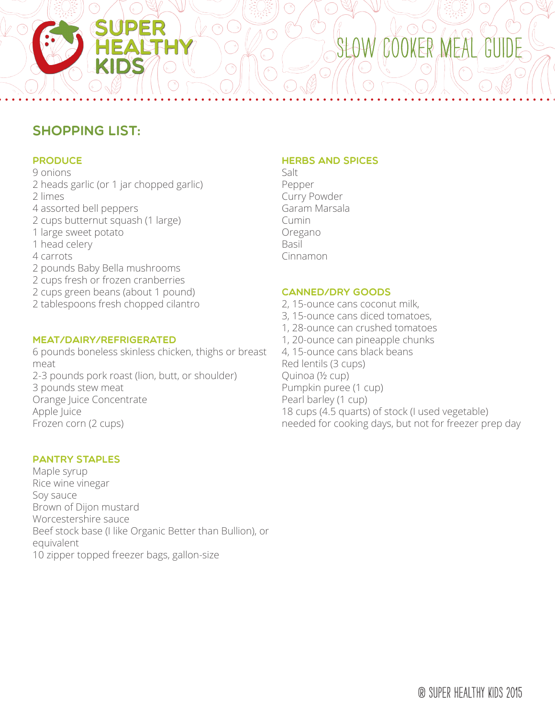## shopping list:

#### **PRODUCE**

9 onions 2 heads garlic (or 1 jar chopped garlic) 2 limes 4 assorted bell peppers 2 cups butternut squash (1 large) 1 large sweet potato 1 head celery 4 carrots 2 pounds Baby Bella mushrooms 2 cups fresh or frozen cranberries 2 cups green beans (about 1 pound) 2 tablespoons fresh chopped cilantro

#### Meat/Dairy/Refrigerated

6 pounds boneless skinless chicken, thighs or breast meat 2-3 pounds pork roast (lion, butt, or shoulder) 3 pounds stew meat Orange Juice Concentrate Apple Juice Frozen corn (2 cups)

#### Pantry Staples

Maple syrup Rice wine vinegar Soy sauce Brown of Dijon mustard Worcestershire sauce Beef stock base (I like Organic Better than Bullion), or equivalent 10 zipper topped freezer bags, gallon-size

#### **HERBS AND SPICES**

Salt Pepper Curry Powder Garam Marsala Cumin Oregano Basil Cinnamon

#### Canned/Dry Goods

2, 15-ounce cans coconut milk, 3, 15-ounce cans diced tomatoes, 1, 28-ounce can crushed tomatoes 1, 20-ounce can pineapple chunks 4, 15-ounce cans black beans Red lentils (3 cups) Quinoa (½ cup) Pumpkin puree (1 cup) Pearl barley (1 cup) 18 cups (4.5 quarts) of stock (I used vegetable) needed for cooking days, but not for freezer prep day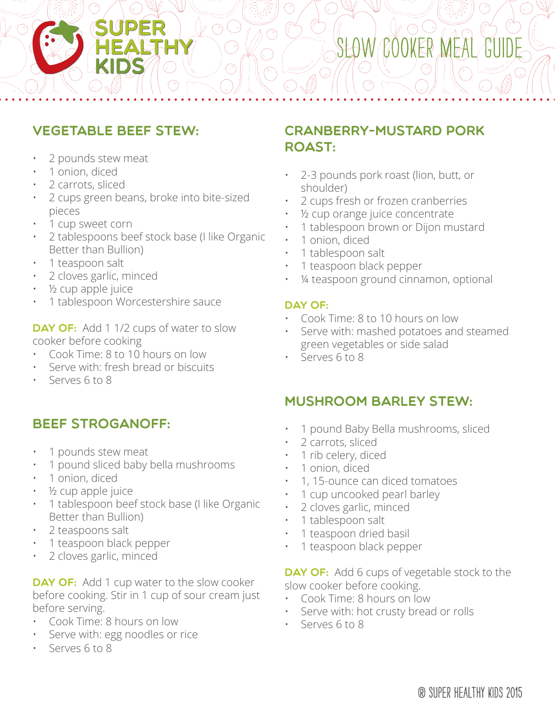## vegetable beef stew:

SUPER

- 2 pounds stew meat
- 1 onion, diced
- 2 carrots, sliced
- 2 cups green beans, broke into bite-sized pieces
- 1 cup sweet corn
- 2 tablespoons beef stock base (I like Organic Better than Bullion)
- 1 teaspoon salt
- 2 cloves garlic, minced
- ½ cup apple juice
- 1 tablespoon Worcestershire sauce

DAY OF: Add 1 1/2 cups of water to slow cooker before cooking

- Cook Time: 8 to 10 hours on low
- Serve with: fresh bread or biscuits
- Serves 6 to 8

### beef stroganoff:

- 1 pounds stew meat
- 1 pound sliced baby bella mushrooms
- 1 onion, diced
- ½ cup apple juice
- 1 tablespoon beef stock base (I like Organic Better than Bullion)
- 2 teaspoons salt
- 1 teaspoon black pepper
- 2 cloves garlic, minced

**DAY OF:** Add 1 cup water to the slow cooker before cooking. Stir in 1 cup of sour cream just before serving.

- Cook Time: 8 hours on low
- Serve with: egg noodles or rice
- Serves 6 to 8

## cranberry-mustard pork roast:

- 2-3 pounds pork roast (lion, butt, or shoulder)
- 2 cups fresh or frozen cranberries
- 1/2 cup orange juice concentrate
- 1 tablespoon brown or Dijon mustard
- 1 onion, diced
- 1 tablespoon salt
- 1 teaspoon black pepper
- 1/4 teaspoon ground cinnamon, optional

#### DAY OF:

- Cook Time: 8 to 10 hours on low
- Serve with: mashed potatoes and steamed green vegetables or side salad
- Serves 6 to 8

### mushroom barley stew:

- 1 pound Baby Bella mushrooms, sliced
- 2 carrots, sliced
- 1 rib celery, diced
- 1 onion, diced
- 1, 15-ounce can diced tomatoes
- 1 cup uncooked pearl barley
- 2 cloves garlic, minced
- 1 tablespoon salt
- 1 teaspoon dried basil
- 1 teaspoon black pepper

DAY OF: Add 6 cups of vegetable stock to the slow cooker before cooking.

- Cook Time: 8 hours on low
- Serve with: hot crusty bread or rolls
- Serves 6 to 8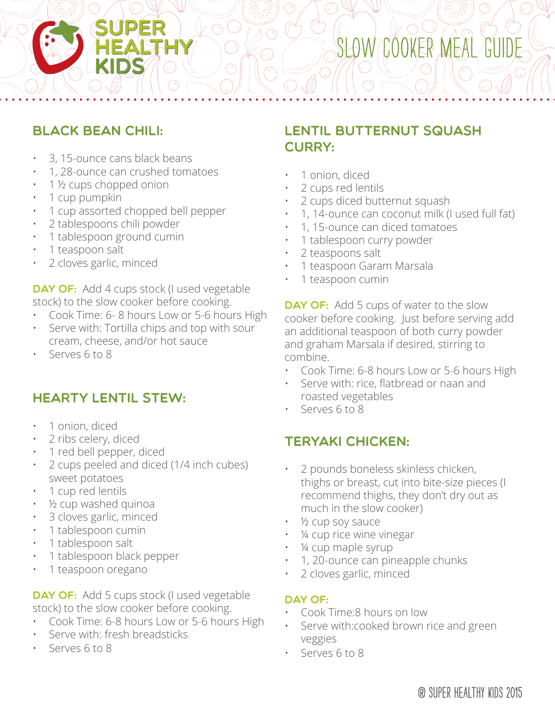## black bean chili:

- 3, 15-ounce cans black beans
- 1, 28-ounce can crushed tomatoes

SUPER

 $\nu$  O

- 1 ½ cups chopped onion
- 1 cup pumpkin
- 1 cup assorted chopped bell pepper
- 2 tablespoons chili powder
- 1 tablespoon ground cumin
- 1 teaspoon salt
- 2 cloves garlic, minced

DAY OF: Add 4 cups stock (I used vegetable stock) to the slow cooker before cooking.

- Cook Time: 6- 8 hours Low or 5-6 hours High
- Serve with: Tortilla chips and top with sour cream, cheese, and/or hot sauce
- Serves 6 to 8

### hearty lentil stew:

- 1 onion, diced
- 2 ribs celery, diced
- 1 red bell pepper, diced
- 2 cups peeled and diced (1/4 inch cubes) sweet potatoes
- 1 cup red lentils
- ½ cup washed quinoa
- 3 cloves garlic, minced
- 1 tablespoon cumin
- 1 tablespoon salt
- 1 tablespoon black pepper
- 1 teaspoon oregano

DAY OF: Add 5 cups stock (I used vegetable stock) to the slow cooker before cooking.

- Cook Time: 6-8 hours Low or 5-6 hours High
- Serve with: fresh breadsticks
- Serves 6 to 8

## lentil butternut squash CURRY:

- 1 onion, diced
- 2 cups red lentils
- 2 cups diced butternut squash
- 1, 14-ounce can coconut milk (I used full fat)
- 1, 15-ounce can diced tomatoes
- 1 tablespoon curry powder
- 2 teaspoons salt
- 1 teaspoon Garam Marsala
- 1 teaspoon cumin

DAY OF: Add 5 cups of water to the slow cooker before cooking. Just before serving add an additional teaspoon of both curry powder and graham Marsala if desired, stirring to combine.

- Cook Time: 6-8 hours Low or 5-6 hours High
- Serve with: rice, flatbread or naan and roasted vegetables
- Serves 6 to 8

### teryaki chicken:

- 2 pounds boneless skinless chicken, thighs or breast, cut into bite-size pieces (I recommend thighs, they don't dry out as much in the slow cooker)
- 1/<sub>2</sub> cup soy sauce
- 1/4 cup rice wine vinegar
- 1/4 cup maple syrup
- 1, 20-ounce can pineapple chunks
- 2 cloves garlic, minced

#### DAY OF:

- Cook Time:8 hours on low
- Serve with:cooked brown rice and green veggies
- Serves 6 to 8